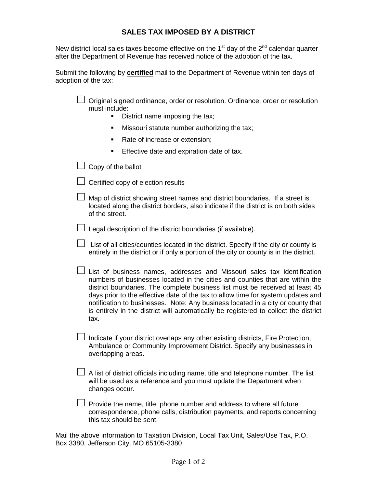## **SALES TAX IMPOSED BY A DISTRICT**

New district local sales taxes become effective on the  $1<sup>st</sup>$  day of the  $2<sup>nd</sup>$  calendar quarter after the Department of Revenue has received notice of the adoption of the tax.

Submit the following by **certified** mail to the Department of Revenue within ten days of adoption of the tax:

 $\Box$  Original signed ordinance, order or resolution. Ordinance, order or resolution must include:

- District name imposing the tax;
- **Missouri statute number authorizing the tax;**
- Rate of increase or extension;
- **Effective date and expiration date of tax.**

 $\Box$  Copy of the ballot

 $\Box$  Certified copy of election results

| $\Box$ Map of district showing street names and district boundaries. If a street is |
|-------------------------------------------------------------------------------------|
| located along the district borders, also indicate if the district is on both sides  |
| of the street.                                                                      |

 $\Box$  Legal description of the district boundaries (if available).

| □ List of all cities/counties located in the district. Specify if the city or county is |
|-----------------------------------------------------------------------------------------|
| entirely in the district or if only a portion of the city or county is in the district. |

| $\Box$ List of business names, addresses and Missouri sales tax identification       |
|--------------------------------------------------------------------------------------|
| numbers of businesses located in the cities and counties that are within the         |
| district boundaries. The complete business list must be received at least 45         |
| days prior to the effective date of the tax to allow time for system updates and     |
| notification to businesses. Note: Any business located in a city or county that      |
| is entirely in the district will automatically be registered to collect the district |
| tax.                                                                                 |

 $\Box$  Indicate if your district overlaps any other existing districts, Fire Protection, Ambulance or Community Improvement District. Specify any businesses in overlapping areas.

| $\Box$ A list of district officials including name, title and telephone number. The list |
|------------------------------------------------------------------------------------------|
| will be used as a reference and you must update the Department when                      |
| changes occur.                                                                           |

 $\Box$  Provide the name, title, phone number and address to where all future correspondence, phone calls, distribution payments, and reports concerning this tax should be sent.

Mail the above information to Taxation Division, Local Tax Unit, Sales/Use Tax, P.O. Box 3380, Jefferson City, MO 65105-3380